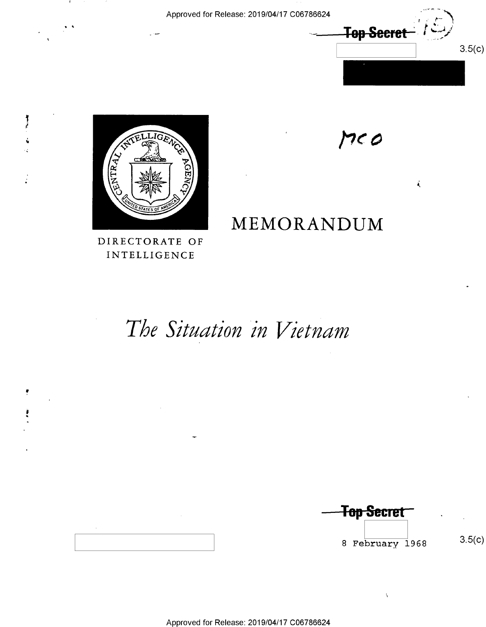Top Secret  $3.5(c)$ 

 $\vec{k}$ 

 $M$ 

MEMORANDUM



青春

DIRECTORATE OF INTELLIGENCE

# The Situation in Vietnam

<del>Top Secret</del> 8 February 1968

Ň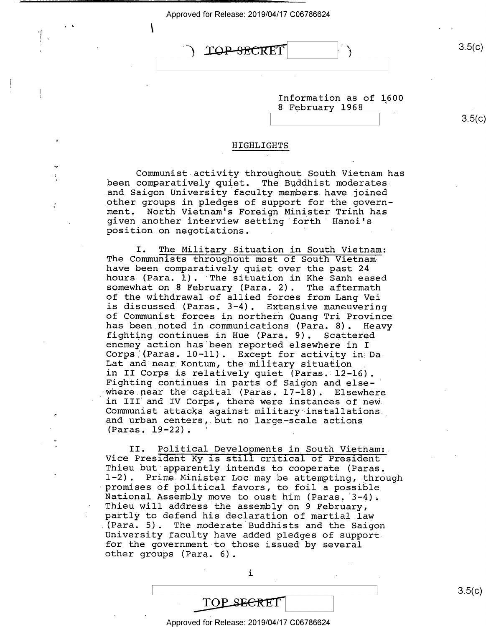## TOP SECRET

 $\mathbf{v}$ 

Ĭ.

 $3.5(c)$ 

Information as of L600 <sup>8</sup>February 1968

 $3.5(c)$ 

#### HIGHLIGHTS

Communist activity throughout South Vietnam has<br>been comparatively quiet. The Buddhist moderates<br>and Saigon University faculty members have joined other groups in pledges of support for the govern-<br>ment. North Vietnam's Foreign Minister Trinh has ment. North Vietnam's Foreign Minister Trinh has<br>given another interview setting forth Hanoi's<br>position on negotiations. '

I. The Military Situation in South Vietnam:<br>The Communists throughout most of South Vietnam<br>have been comparatively quiet over the past 24<br>hours (Para. 1). The situation in Khe Sanh eased<br>somewhat on 8 February (Para. 2). of the withdrawal of allied forces from Lang Vei is discussed (Paras. 3-4). Extensive maneuvering has been noted in communications (Para. 8). Heavy<br>fighting continues in Hue (Para. 9). Scattered<br>enemey action has been reported elsewhere in I<br>Corps (Paras. 10-11). Except for activity in Da<br>Lat and near Kontum, the milit in II Corps is relatively quiet (Paras. 12-16).<br>Fighting continues in parts of Saigon and else-<br>where near the capital (Paras. 17-18). Elsewhere<br>in III and IV Corps, there were instances of new Communist attacks against military installations.<br>and urban centers, but no large-scale actions (Paras. 19-22).

II. Political Developments in South Vietnam:<br>Vice President Ky is still critical of President<br>Thieu but apparently intends to cooperate (Paras.<br>1-2). Prime Minister Loc may be attempting, through<br>promises of political favo for the government to those issued by several other groups (Para. 6).

i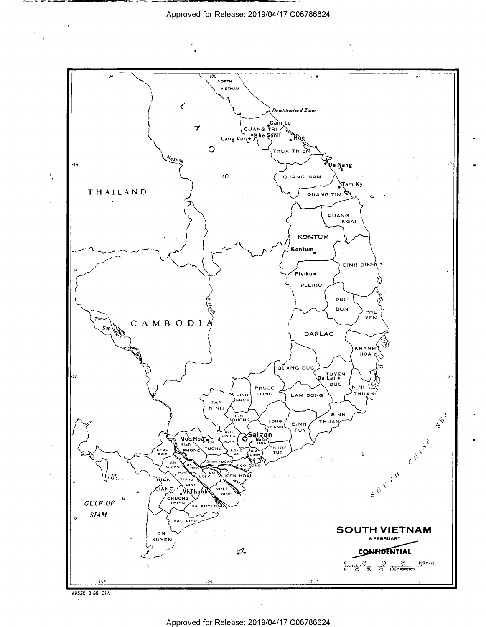

69550 2-68 CIA

 $\sim 100$  M

 $\ddot{\cdot}$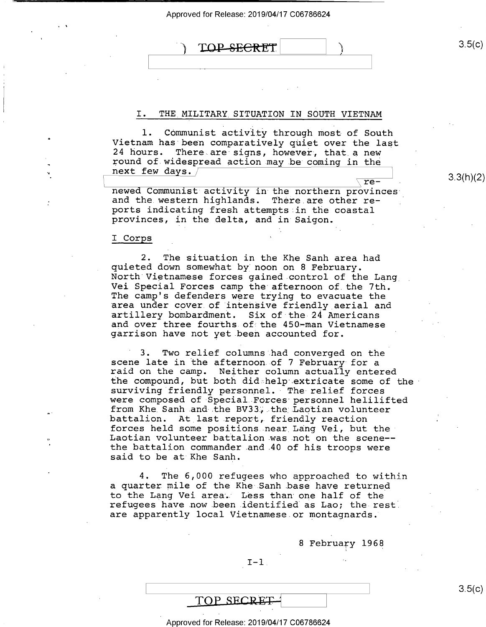TOP SECRET

#### I. THE MILITARY SITUATION IN SOUTH VIETNAM

l. Communist activity through most of South<br>Vietnam has been comparatively quiet over the last<br>24 hours. There are signs, however, that a new There are signs, however, that a new pound of widespread action may be coming in the next few days.<br>
. pilling the set of the set of the set of the set of the set of the set of the set of the set of the set of the set of the set of the set of the set of the s

newed Communist activity in the northern provinces and the western highlands. There are other re-<br>ports indicating fresh attempts in the coastal provinces, in the delta, and in Saigon. \_

I Corps \_

2. The situation in the Khe Sanh area had<br>quieted down somewhat by noon on 8 February.<br>North Vietnamese forces gained control of the Lang<br>Vei Special Forces camp the afternoon of the 7th.<br>The camp's defenders were trying t garrison have not yet been accounted for.

3. Two relief columns had converged on the<br>scene late in the afternoon of 7 February for a<br>raid on the camp. Neither column actually entered<br>the compound, but both didshelp extricate some of the surviving friendly personnel. The relief forces<br>were composed of Special Forces personnel helilifted<br>from Khe Sanh and the BV33, the Laotian volunteer battalion. At last report, friendly reaction forces held some positions near Lang Vei, but the- Laotian volunteer battalion was not on the scene-the battalion commander and 40 of his troops were said to be at Khe Sanh.

The 6,000 refugees who approached to within a quarter mile of the Khe Sanh base have returned<br>to the Lang Vei area. Less than one half of the refugees have now been identified as Lao; the rest. are apparently local Vietnamese.or montagnards.

<sup>8</sup>February 1968

#### $I-1$ .

 $\mathcal{L} = \mathcal{L} \times \mathcal{L}$  . The contract of the contract of the contract of the contract of the contract of the contract of the contract of the contract of the contract of the contract of the contract of the contract of the

### TOP SECRET

#### Approved for Release: 2019/04/17 C06786624

 $3.5(c)$ 

3.3(h)(2)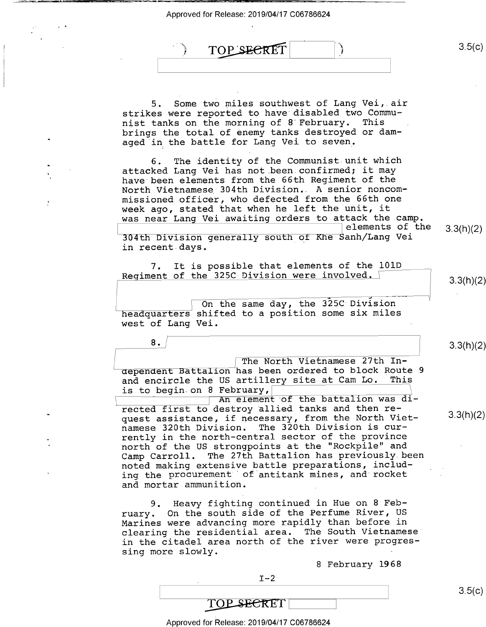\*4  $\sim$  4  $^{\prime\prime}$  ,  $^{\prime\prime}$  ,  $^{\prime\prime}$  ,  $^{\prime\prime}$  ,  $^{\prime\prime}$  ,  $^{\prime\prime}$  ,  $^{\prime\prime}$  ,  $^{\prime\prime}$  ,  $^{\prime\prime}$  ,  $^{\prime\prime}$  ,  $^{\prime\prime}$  ,  $^{\prime\prime}$  ,  $^{\prime\prime}$  ,  $^{\prime\prime}$  ,  $^{\prime\prime}$  ,  $^{\prime\prime}$  ,  $^{\prime\prime}$  ,  $^{\prime\prime}$  ,  $^{\prime\prime}$  ,  $^$ 

8 .

 $3.5(c)$ TOP SECRET  $\overline{3}$ 

5. Some two miles southwest of Lang Vei,.air strikes were reported to have disabled two Communist tanks on the morning of 8 February. brings the total of enemy tanks destroyed or damaged in the battle for Lang Vei to seven,

6. The identity of the Communist unit which attacked Lang Vei has not.been confirmed; it may have been elements from the 66th Regiment of the North Vietnamese 304th Division.. A senior noncommissioned officer, who defected from the 66th one week ago, stated that when he left the unit, it was near Lang Vei awaiting orders to attack the.camp.

\ gelements of the 3.3(h)(2)

304th Division generally south of Khe Sanh/Lang Vei in recent days.

7. It is possible that elements of the lOlD Regiment of the 325C Division were involved.

 $\frac{1}{2}$  .  $\frac{1}{2}$  .  $\frac{1}{2}$  .  $\frac{1}{2}$ On the same day, the 325C Division headquarters shifted to a position some six miles west of Lang Vei.

The North Vietnamese 27th Independent Battalion has been ordered to block Route 9<br>and encircle the US artillery site at Cam Lo. This and encircle the US artillery site at Cam Lo. is to begin on  $8$  February,

An element of the battalion was directed first to destroy allied tanks and then request assistance, if necessary, from the North Vietnamese 320th Division. The 320th Division is currently in the north—central sector of the province north of the US strongpoints at the "Rockpile" and Camp Carroll. The 27th Battalion has previously been noted making extensive battle preparations, including the procurement of antitank mines, and rocket and mortar ammunition.

9. Heavy fighting continued in Hue on 8 February. On the south side of the Perfume River, US Marines were advancing more rapidly than before in clearing the residential area. The South Vietnamese' in the citadel area north of the river were progressing more slowly.

<sup>8</sup>February 1968

 $I-2$ 

3.3(h)(2)

3.3(h)(2)

3.3(h)(2)

 $3.5(c)$ 

TOP SECRET Approved for Release: 2019/04/17 C06786624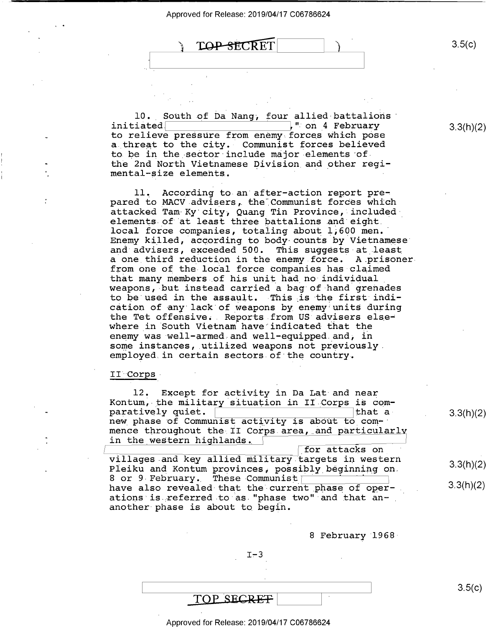$\sum_{i=1}^{n}$ 

**TOP-SECRET** 

10. South of Da Nang, four allied battalions initiated  $\begin{bmatrix} 1 & 0 & 0 \\ 0 & 0 & 0 \\ 0 & 0 & 0 \end{bmatrix}$  " on 4 February ." on 4 February to relieve pressure from enemy forces which pose a threat to the city. Communist forces believed to be in the sector include major elements of the 2nd North Vietnamese Division and other regimental-size elements.

ll, According to an after-action report prepared to MACV advisers, the Communist forces which attacked Tam-Ky'city, Quang Tin Province, includedelements of at least three battalions.and eight. local force companies, totaling about 1,600 men. Enemy killed, according to body-counts by Vietnamese" and advisers, exceeded 500. This suggests-at least a one third reduction in the enemy force. A prisoner from one of the local force companies has claimed<br>that many members of his unit had no individual weapons, but instead carried a bag of hand grenades to be used in the assault. This is the first indi-<br>cation of any lack of weapons by enemy units during the Tet offensive. Reports from US advisers else-<br>where in South Vietnam have indicated that the<br>enemy was well-armed and well-equipped and, in<br>some instances, utilized weapons not previously employed in certain sectors of the country.

#### II Corps

12. Except for activity in Da Lat and near<br>Kontum, the military situation in II Corps is com-<br>paratively quiet. paratively quiet. new phase of Communist activity is about to commence throughout the II Corps area, and particularly in the western highlands.

\Lfor attacks on villages and key allied military targets in western Pleiku and Kontum provinces, possibly beginning on.<br>8 or 9 February. These Communist have also revealed that the current phase of oper-<br>ations is referred to as "phase two" and that ananother phase is about to begin.

<sup>8</sup>February l968-

 $I - 3$ 

TOP SECRET

Approved for Release: 2019/04/17 C06786624

3.3(h)(2)

3.3(h)(2)

3.3(h)(2)

 $3.5(c)$ 

 $3.5(c)$ 

3.3(h)(2)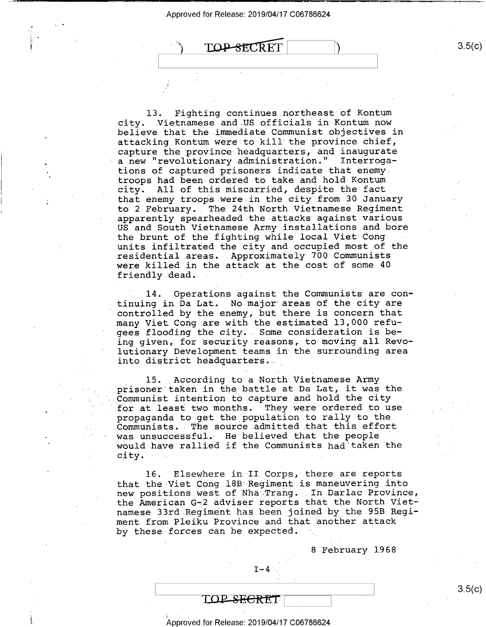;

.

-<



13. Fighting continues\_northeast of Kontum city. Vietnamese and US officials in Kontum now believe that the immediate Communist objectives in attacking Kontum were to kill the province chief, capture the province headquarters; and inaugurate a new "revolutionary administration." Interrogations of captured prisoners indicate that enemy\_ troops had been-ordered to take and hold Kontum city. All of this miscarried, despite the fact that enemy troops were in the city from 30 January to 2 February. The 24th North Vietnamese Regiment apparently spearheaded the attacks against various US and South Vietnamese Army installations and bore the brunt of the fighting while local Viet Cong units infiltrated the city and occupied most of the residential areas. Approximately 700 Communists were killed in the attack at the cost of some 40 friendly dead.

14. Operations against the Communists are continuing in Da\_Lat. No major areas of the city are controlled by the enemy, but there is concern that many Viet.Cong are with the estimated 13,000 refu- ' gees flooding the city.- Some consideration is being given, for security reasons, to moving all Revo lutionary Development teams in the surrounding area into district headquarters.

15. According to a North Vietnamese Army prisoner taken in the battle at Da Lat, it was the Communist intention to capture and hold the city for at least two months. They were ordered to use propaganda to get the population to rally to the Communists. The source admitted that this effort was unsuccessful. He believed that the people would have rallied if the Communists had'taken the city.

16. Elsewhere in II Corps, there are reports that the-Viet Cong 18B Regiment is maneuvering into new positions west of Nha Trang. In Darlac Province, the American G-2 adviser reports that the North Vietnamese 33rd Regiment has been joined by the 95B Regiment from Pleiku Province and that another attack by these forces can be expected.

8 February 1968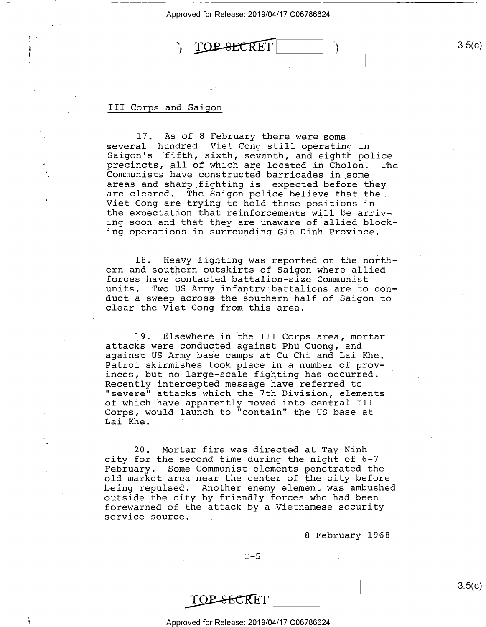$\text{TOP-SECRET}$  3.5(c)

#### III Corps and Saigon

17. As of 8 February there were some<br>several hundred Viet Cong still operating in Saigon's fifth, sixth, seventh, and eighth police<br>precincts, all of which are located in Cholon. The<br>Communists have constructed barricades in some<br>areas and sharp fighting is expected before they<br>are cleared. The Saigon p the expectation that reinforcements will be arriving soon and that they are unaware of allied blocking operations in surrounding Gia Dinh Province.

18. Heavy fighting was reported on the north- ern.and southern outskirts of Saigon where allied forces have contacted battalion-size Communist units. Two US Army infantry battalions are to conduct a sweep across-the southern half of Saigon to clear the Viet Cong from this area.

19. Elsewhere in the III Corps area, mortar attacks were conducted against Phu Cuong, and against US Army base camps at Cu Chi and Lai Khe. Patrol skirmishes took place in a number of provinces, but no large-scale fighting has occurred.<br>Recently intercepted message have referred to "severe" attacks which the 7th Division, elements of which have apparently moved into central III Corps, would launch to "contain" the US base at Lai Khe.

20. Mortar fire was directed at Tay Ninh city for the second time during the night of 6-7 February. Some Communist elements penetrated the old market area near the center of the city before being repulsed. Another enemy element was ambushed outside the city by friendly forces who had been forewarned of the attack by a Vietnamese security service source.

<sup>8</sup>February 1968

 $I-5$ 

TOP SECRET

Approved for Release: 2019/04/17 C06786624

 $\mathcal{L} = \mathcal{L} \times \mathcal{L}$  . The contract of the contract of the contract of the contract of the contract of the contract of the contract of the contract of the contract of the contract of the contract of the contract of the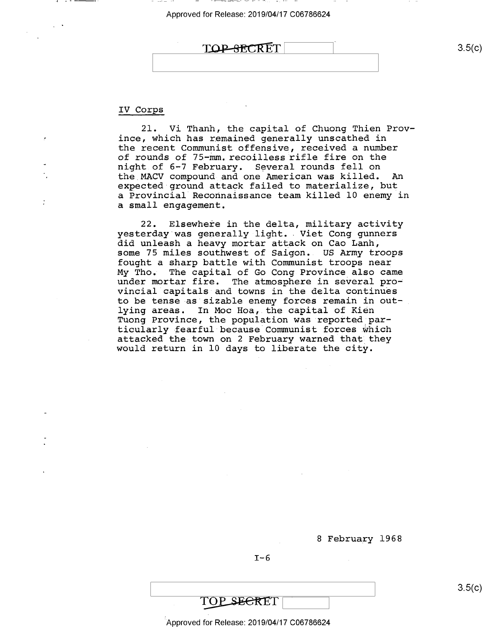| TOP SECRET |  |
|------------|--|
|            |  |
|            |  |

#### IV Corps

21. Vi Thanh, the capital of Chuong Thien Prov ince, which has remained generally unscathed in the recent Communist offensive, received a number of rounds of 75-mm. recoilless rifle fire on the night of 6-7 February. Several rounds fell on the MACV compound and one American was killed. An expected ground attack failed to materialize, but a Provincial Reconnaissance team killed 10 enemy in a small engagement.

22. Elsewhere in the delta, military activity yesterday was generally light. Viet Cong gunners did unleash a heavy mortar attack on Cao Lanh, some 75 miles southwest of Saigon.. US Army troops fought a sharp battle with Communist troops near<br>My Tho. The capital of Go Cong Province also can The capital of Go Cong Province also came under mortar fire. The atmosphere in several provincial capitals and towns in the delta continues to be tense as sizable enemy forces remain in out-<br>lying areas. In Moc Hoa, the capital of Kien In Moc Hoa, the capital of Kien Tuong Province, the population was reported particularly fearful because Communist forces which<br>attacked the town on 2 February warned that they would return in 10 days to liberate the city.

<sup>8</sup>February 1968

 $I-6$ 

 $3.5(c)$ 

TOP SECRET

Approved for Release: 2019/04/17 C06786624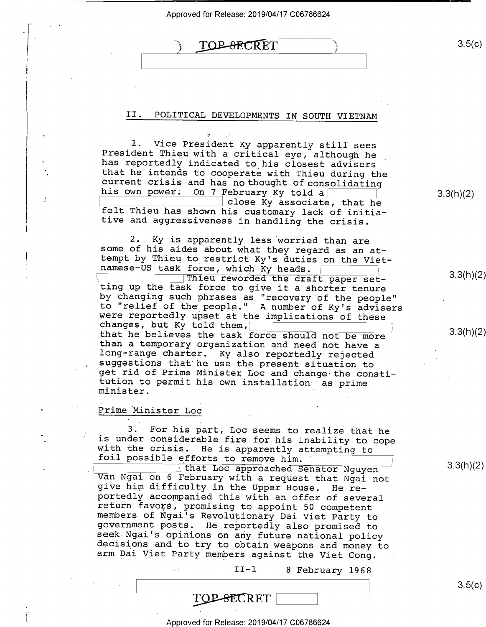| $\sim$ $\sim$ |                 | Approved for Release: 2019/04/17 C06786624 |    |       |         |        |
|---------------|-----------------|--------------------------------------------|----|-------|---------|--------|
|               |                 | TOP-SECRET                                 |    |       |         | 3.5(c) |
|               | $\lambda$<br>IJ | POLITICAL DEVELOPMENTS                     | IN | SOUTH | VIETNAM |        |

1. Vice President Ky apparently still sees<br>President Thieu with a critical eye, although he<br>has reportedly indicated to his closest advisers<br>that he intends to cooperate with Thieu during the<br>current crisis and has no tho felt Thieu has shown his customary lack of initia-<br>tive and aggressiveness in handling the crisis.

 $U = \cup_{i=1}^n V_i$ 

2. Ky is apparently less worried than are some of his aides about what they regard as an at-<br>tempt by Thieu to restrict Ky's duties on the Viet-<br>namese-US task force, which Ky heads. Thieu reworded the draft paper set-

ting up the task force to give it a shorter tenure<br>by changing such phrases as "recovery of the people"<br>to "relief of the people." A number of Ky's advisers<br>were reportedly upset at the implications of these<br>changes, but K

#### Prime Minister Loc \_

.-

3. For his part, Loc seems to realize that he<br>is under considerable fire for his inability to cope<br>with the crisis. He is apparently attempting to<br>foil possible efforts to remove him.<br>that Loc approached Senator Nguyen

Van Ngai on 6 February with a request that Ngai not<br>give him difficulty in the Upper House. He re-<br>portedly accompanied this with an offer of several<br>return favors, promising to appoint 50 competent<br>members of Ngai's Revol

\_ II—l 8 February 1968

3.3(h)(2)

3.3(h)(2)

3.3(h)(2)

3.3(h)(2)

 $3.5(c)$ 

TOP-SECRET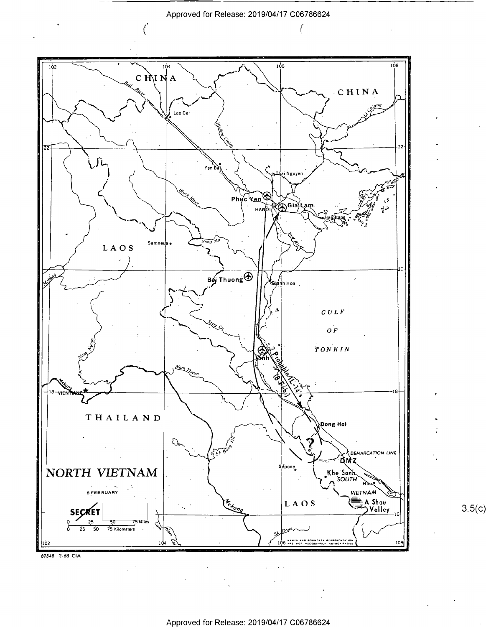Approved for Release: 2019/04/17 C06786624

 $\sqrt{ }$ 

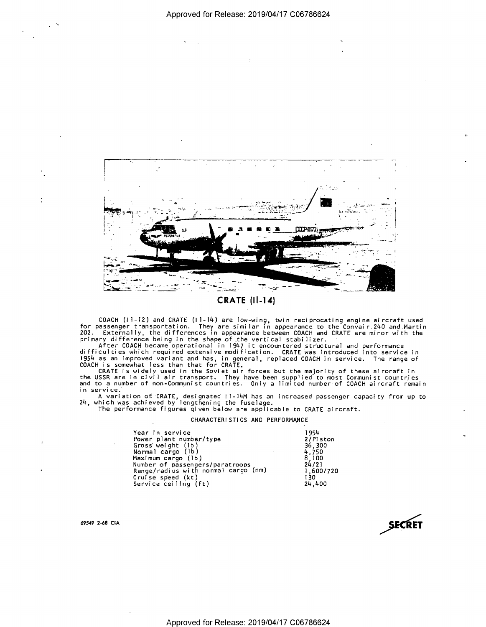

COACH (11-12) and CRATE (11-14) are low-wing, twin reciprocating engine aircraft used<br>for passenger transportation. They are similar in appearance to the Convair.240 and Martin<br>202. Externally, the differences in appearan

in service.

A variation of CRATE, designated II-14M has an increased passenger capacity from up to 24, which was achieved by lengthening the fuselage.

The performance figures given below are applicable to CRATE aircraft.

#### CHARACTERISTICS AND PERFORMANCE

Year In service Power plant number/type<br>Gross weight (1b)<br>Normal cargo (1b) Maximum cargo (1b) Number of passengers/paratroops<br>Range/radius with normal cargo (nm) Cruise speed (kt)<br>Service ceiling (ft)

1954 2/Pl ston  $\begin{array}{c} 36,300 \\ 4,750 \\ 8,100 \end{array}$  $24/21$ 1,600/720 130 24,400

69549 2-68 CIA

 $\sim$   $\sim$ 

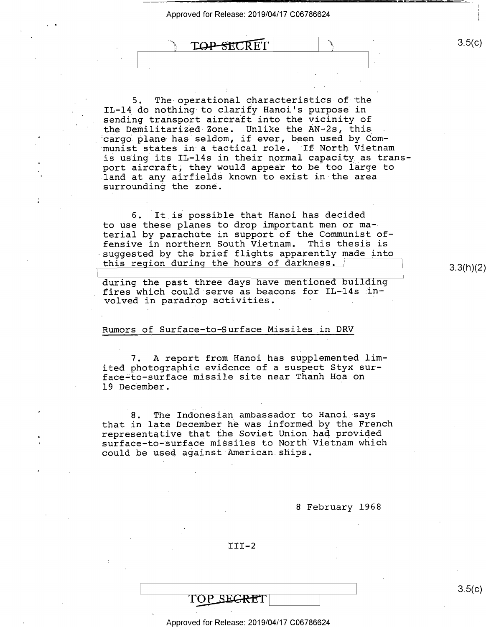TOP-SECRET

5. The-operational characteristics of the IL-14 do nothing to clarify Hanoi's purpose in sending transport aircraft into the vicinity of the Demilitarized-Zone. Unlike the AN—2s, this cargo plane has seldom, if ever, been used by Communist states in a tactical role. If North Vietnam is using its IL-14s in their normal capacity\_as transport aircraft; they would appear to be too large to land at any airfields known to exist in the area surrounding the zone.

6. It is possible that Hanoi has decided to use these planes to drop important men or material by parachute in support of the Communist offensive in northern South Vietnam. This thesis is suggested by the brief flights apparently made into this region during the hours of darkness.

during the past three days have mentioned building fires which could serve as beacons for IL-14s in-<br>volved in paradrop activities.

#### Rumors of Surface-to—Surface Missiles in DRV

7. A report from Hanoi has supplemented limited photographic evidence of a suspect Styx surface-to-surface missile site near Thanh Hoa on 19 December.

8. The Indonesian ambassador to Hanoi says. that in late December he was informed by the French representative that the Soviet Union had provided surface-to-surface missiles to North Vietnam which could be used against American ships.

<sup>8</sup>February 1968

 $III-2$ 

# TOP SEGRET

Approved for Release: 2019/04/17 C06786624

 $3.5(c)$ 

3.3(h)(2)

1: \_ \_ -L'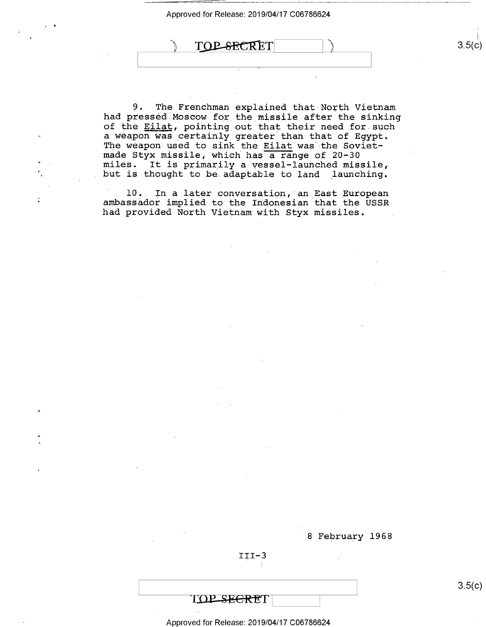TOP-SECRET

9. The Frenchman explained that North Vietnam<br>had pressed Moscow for the missile after the sinking of the Eilat, pointing out that their need for such a weapon was certainly greater than that of Egypt. The weapon used to sink the <u>Eilat</u> was the Sovietmade Styx missile, which has a range of 20-30 miles. It is primarily a vessel-launched missile, but is thought to be adaptable to land launching.

l0. In a later conversation, an\_East\_European ambassador implied to the Indonesian that the USSR had provided North Vietnam with Styx missiles. .

<sup>8</sup>February l968

 $III-3$ 

TOP SEGRET

Approved for Release: 2019/04/17 C06786624

3.5(c)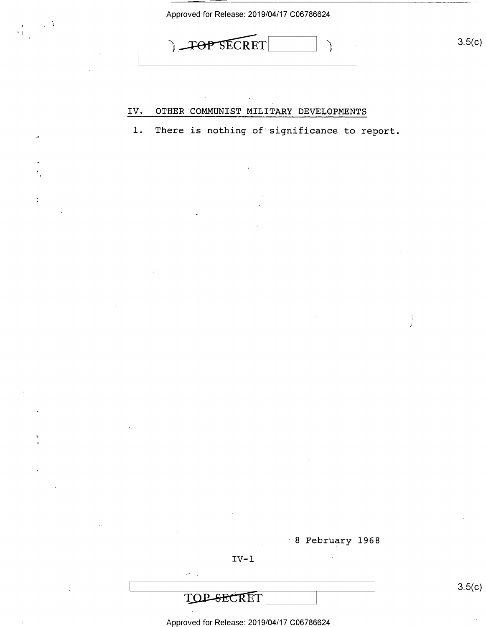

V. OTHER 'COMMUNIST MILITARY DEVELOPMENTS

l. There is nothing of significance to report

"8 February 1968

 $IV-1$ 

Approved for Release: 2019/04/17 C06786624

 $\qquad \qquad \Box$ 

ł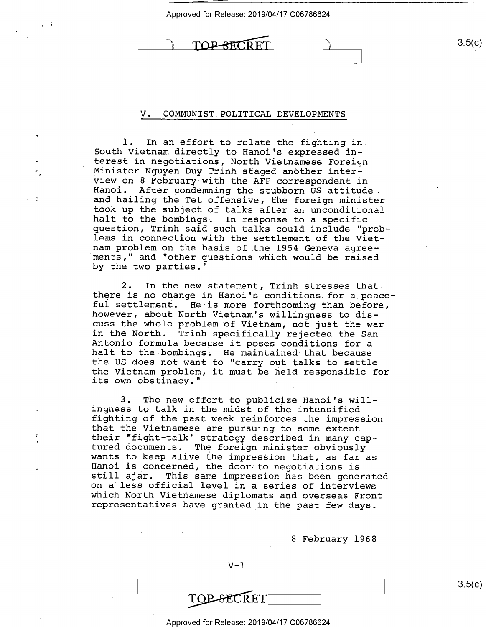**TOP-SECRET** 

#### V. COMMUNIST POLITICAL DEVELOPMENTS

l. In an effort to relate the fighting in. South Vietnam directly to Hanoi's expressed in-<br>terest in negotiations, North Vietnamese Foreign Minister Nguyen Duy Trinh staged another inter-<br>view on 8 February with the AFP correspondent in<br>Hanoi. After condemning the stubborn US attitude<br>and hailing the Tet offensive, the foreign minister<br>took up the subject of t nam problem on the basis of the 1954 Geneva agree-- ments," and "other questions which would be raised by-the two parties."

 $\cdot$ 

2. In the new statement, Trinh stresses thatthere is no change in Hanoi's conditions for a peace-<br>ful settlement. He is more forthcoming than before, however, about North Vietnam's willingness to discuss the whole problem of Vietnam, not just the war Antonio formula because it poses conditions for a.<br>halt to the bombings. He maintained that because<br>the US does not want to "carry out talks to settle the Vietnam problem, it must be held responsible for its own obstinacy."

3. The new effort to publicize Hanoi's will-<br>ingness to talk in the midst of the intensified<br>fighting of the past week reinforces the impression<br>that the Vietnamese are pursuing to some extent<br>their "fight-talk" strategy d wants to keep alive the impression that, as far as<br>Hanoi is concerned, the door to negotiations is<br>still ajar. This same impression has been generated<br>on a less official level in a series of interviews which North Vietnamese diplomats and overseas Front<br>representatives have granted in the past few days.

<sup>8</sup>February 1968

TOP-SECRET

 $3.5(c)$ 

#### Approved for Release: 2019/04/17 C06786624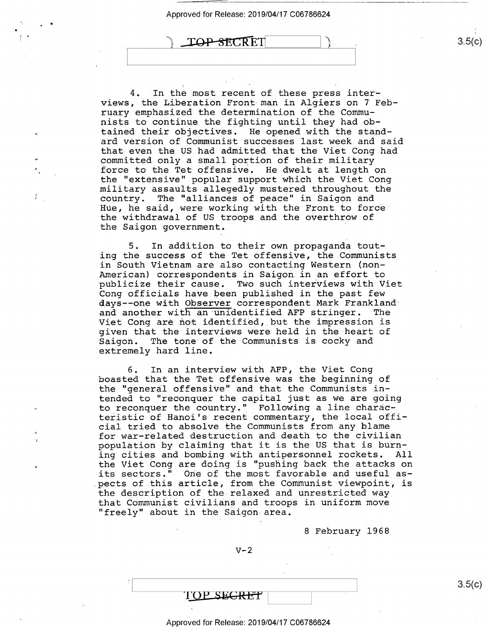$\text{TOP-SECRE}$  3.5(c)

4. In the most recent of these press interviews, the Liberation Front man in Algiers on 7 February emphasized the determination of the Communists to continue the fighting until they had obtained their objectives. He opened with the standard version of Communist successes last week and said that even the US had admitted that the Viet Cong had committed only a small portion of their military force to the Tet offensive. He dwelt at length on the "extensive" popular support which the Viet Cong military assaults allegedly mustered throughout the country. The "alliances of peace" in Saigon and Hue, he said, were working with the Front to force the withdrawal of US troops and the overthrow of the Saigon government.

5. In addition to their own propaganda touting the success of the Tet offensive, the Communists in South Vietnam are also contacting Western (non-American) correspondents in Saigon in an effort to publicize their cause. Two such interviews with Viet<br>Cong officials have been published in the past few days--one with Observer correspondent Mark Frankland<br>and another with an unidentified AFP stringer. The and another with an unidentified AFP stringer. Viet Cong are not identified, but the impression is given that the interviews were held in the heart of Saigon. The tone of the Communists is cocky and extremely hard line.

6. In an interview with AFP, the Viet Cong boasted that the Tet offensive was the beginning of the "general offensive" and that the Communists intended to "reconquer the capital just as we are going to reconquer the country." Following a line characteristic of Hanoi's recent commentary, the local official tried to absolve the Communists from any blame for war—related destruction and death to the civilian population by claiming that it is the US that is burning cities and bombing with antipersonnel rockets. All the Viet Cong are doing is "pushing back the attacks on its sectors." One of the most favorable and useful aspects of.this article, from the Communist viewpoint, is the description of the relaxed and unrestricted way that Communist civilians and troops in uniform move "freely" about in the Saigon area.

8 February 1968

 $\rm s.5(6)$ 

 $V-2$ 

TOP SEGRET

Approved for Release: 2019/04/17 C06786624